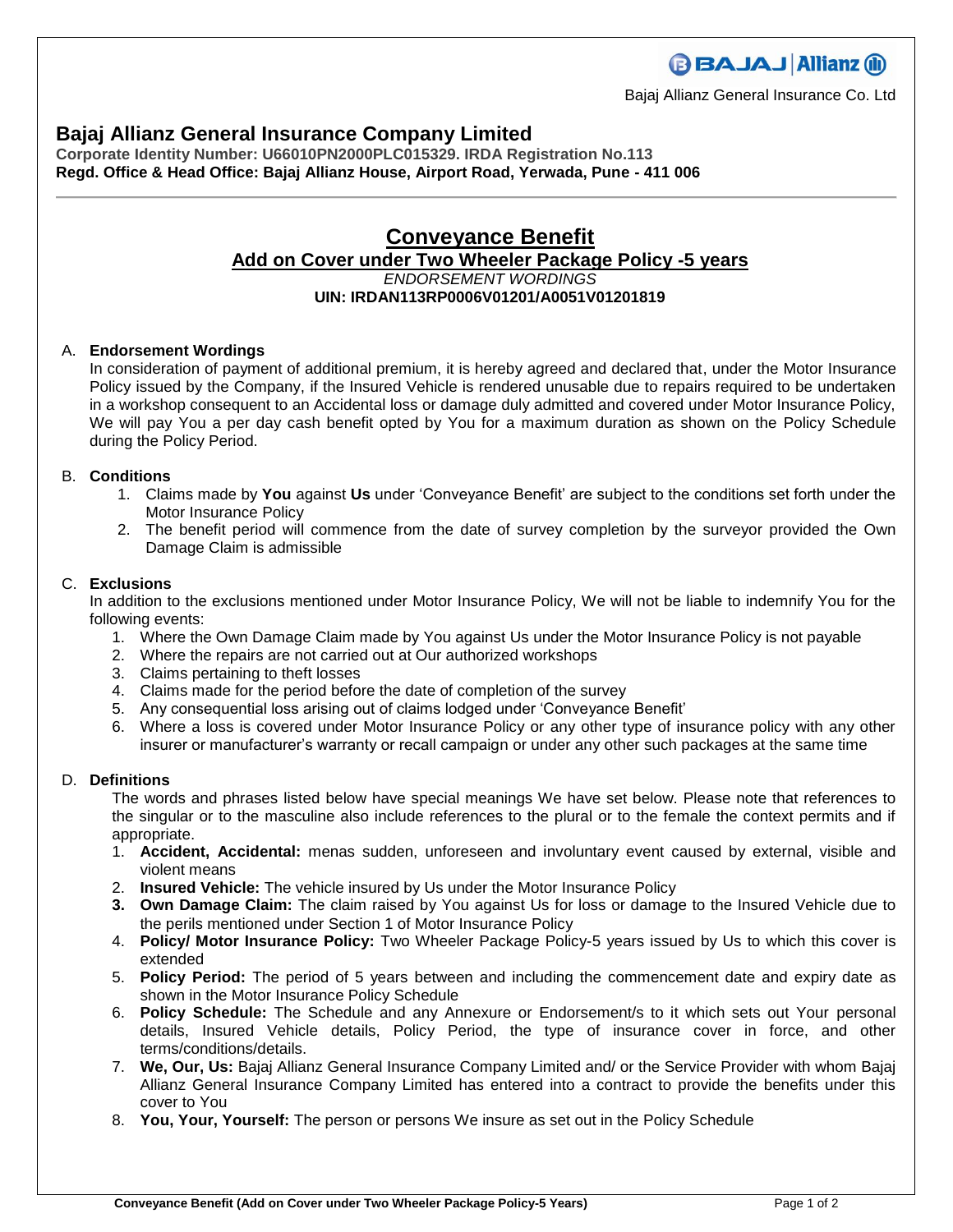# **Bajaj Allianz General Insurance Company Limited**

**Corporate Identity Number: U66010PN2000PLC015329. IRDA Registration No.113 Regd. Office & Head Office: Bajaj Allianz House, Airport Road, Yerwada, Pune - 411 006**

# **Conveyance Benefit Add on Cover under Two Wheeler Package Policy -5 years** *ENDORSEMENT WORDINGS* **UIN: IRDAN113RP0006V01201/A0051V01201819**

### A. **Endorsement Wordings**

In consideration of payment of additional premium, it is hereby agreed and declared that, under the Motor Insurance Policy issued by the Company, if the Insured Vehicle is rendered unusable due to repairs required to be undertaken in a workshop consequent to an Accidental loss or damage duly admitted and covered under Motor Insurance Policy, We will pay You a per day cash benefit opted by You for a maximum duration as shown on the Policy Schedule during the Policy Period.

#### B. **Conditions**

- 1. Claims made by **You** against **Us** under 'Conveyance Benefit' are subject to the conditions set forth under the Motor Insurance Policy
- 2. The benefit period will commence from the date of survey completion by the surveyor provided the Own Damage Claim is admissible

#### C. **Exclusions**

In addition to the exclusions mentioned under Motor Insurance Policy, We will not be liable to indemnify You for the following events:

- 1. Where the Own Damage Claim made by You against Us under the Motor Insurance Policy is not payable
- 2. Where the repairs are not carried out at Our authorized workshops
- 3. Claims pertaining to theft losses
- 4. Claims made for the period before the date of completion of the survey
- 5. Any consequential loss arising out of claims lodged under 'Conveyance Benefit'
- 6. Where a loss is covered under Motor Insurance Policy or any other type of insurance policy with any other insurer or manufacturer's warranty or recall campaign or under any other such packages at the same time

#### D. **Definitions**

The words and phrases listed below have special meanings We have set below. Please note that references to the singular or to the masculine also include references to the plural or to the female the context permits and if appropriate.

- 1. **Accident, Accidental:** menas sudden, unforeseen and involuntary event caused by external, visible and violent means
- 2. **Insured Vehicle:** The vehicle insured by Us under the Motor Insurance Policy
- **3. Own Damage Claim:** The claim raised by You against Us for loss or damage to the Insured Vehicle due to the perils mentioned under Section 1 of Motor Insurance Policy
- 4. **Policy/ Motor Insurance Policy:** Two Wheeler Package Policy-5 years issued by Us to which this cover is extended
- 5. **Policy Period:** The period of 5 years between and including the commencement date and expiry date as shown in the Motor Insurance Policy Schedule
- 6. **Policy Schedule:** The Schedule and any Annexure or Endorsement/s to it which sets out Your personal details, Insured Vehicle details, Policy Period, the type of insurance cover in force, and other terms/conditions/details.
- 7. **We, Our, Us:** Bajaj Allianz General Insurance Company Limited and/ or the Service Provider with whom Bajaj Allianz General Insurance Company Limited has entered into a contract to provide the benefits under this cover to You
- 8. **You, Your, Yourself:** The person or persons We insure as set out in the Policy Schedule



Bajaj Allianz General Insurance Co. Ltd